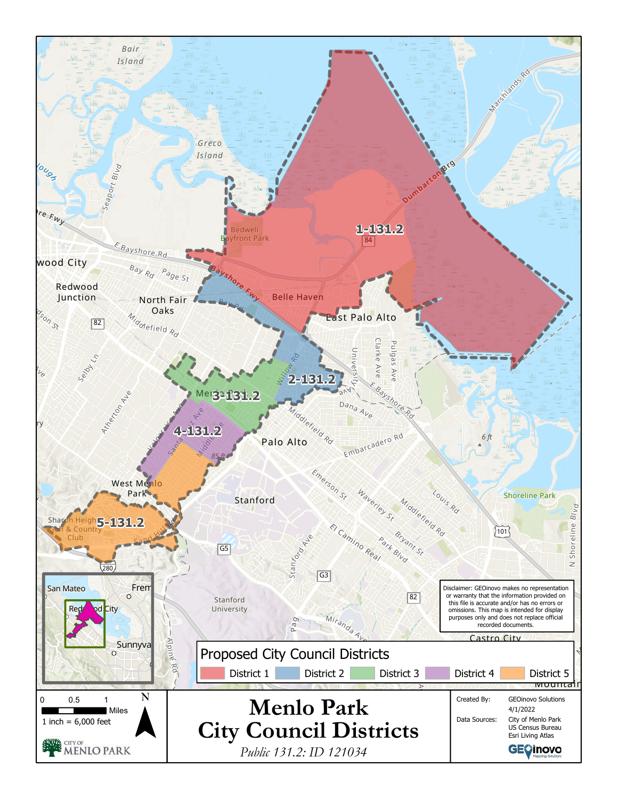